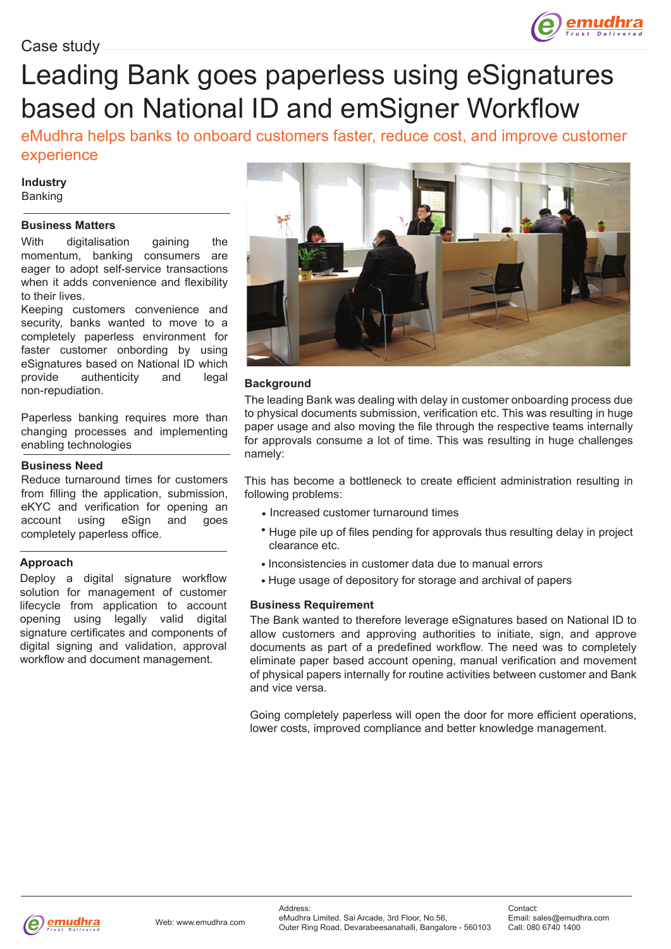

# Leading Bank goes paperless using eSignatures based on National ID and emSigner Workflow

eMudhra helps banks to onboard customers faster, reduce cost, and improve customer experience

## **Industry** Banking

## **Business Matters**

With digitalisation gaining the momentum, banking consumers are eager to adopt self-service transactions when it adds convenience and flexibility to their lives.

Keeping customers convenience and security, banks wanted to move to a completely paperless environment for faster customer onbording by using eSignatures based on National ID which provide authenticity and legal non-repudiation.

Paperless banking requires more than changing processes and implementing enabling technologies

## **Business Need**

Reduce turnaround times for customers from filling the application, submission, eKYC and verification for opening an account using eSign and goes completely paperless office.

## **Approach**

Deploy a digital signature workflow solution for management of customer lifecycle from application to account opening using legally valid digital signature certificates and components of digital signing and validation, approval workflow and document management.



## **Background**

The leading Bank was dealing with delay in customer onboarding process due to physical documents submission, verification etc. This was resulting in huge paper usage and also moving the file through the respective teams internally for approvals consume a lot of time. This was resulting in huge challenges namely:

This has become a bottleneck to create efficient administration resulting in following problems:

- Increased customer turnaround times
- Huge pile up of files pending for approvals thus resulting delay in project clearance etc.
- Inconsistencies in customer data due to manual errors
- Huge usage of depository for storage and archival of papers

## **Business Requirement**

The Bank wanted to therefore leverage eSignatures based on National ID to allow customers and approving authorities to initiate, sign, and approve documents as part of a predefined workflow. The need was to completely eliminate paper based account opening, manual verification and movement of physical papers internally for routine activities between customer and Bank and vice versa.

Going completely paperless will open the door for more efficient operations, lower costs, improved compliance and better knowledge management.

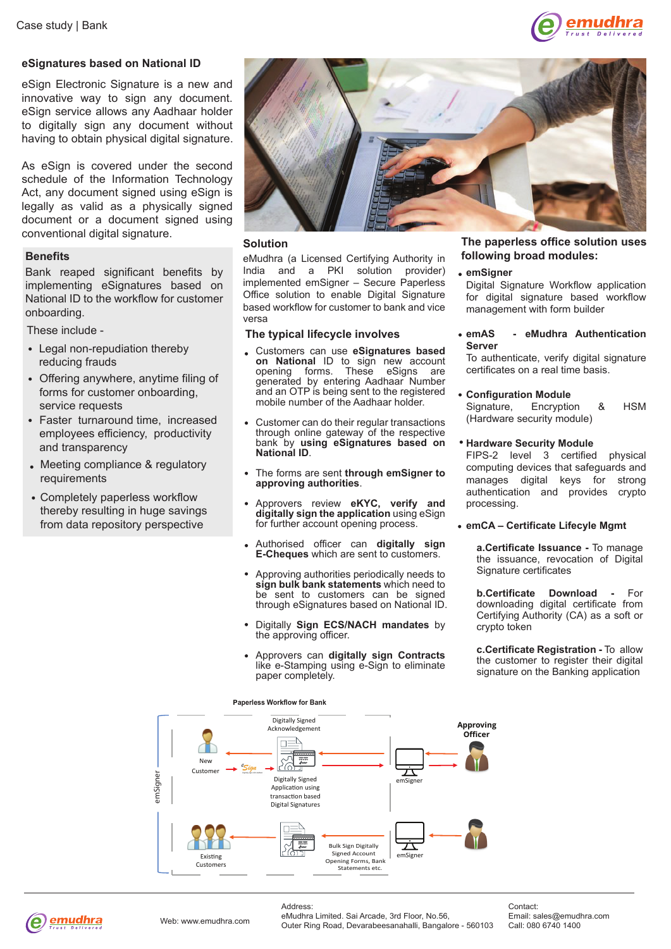

## **eSignatures based on National ID**

eSign Electronic Signature is a new and innovative way to sign any document. eSign service allows any Aadhaar holder to digitally sign any document without having to obtain physical digital signature.

As eSign is covered under the second schedule of the Information Technology Act, any document signed using eSign is legally as valid as a physically signed document or a document signed using conventional digital signature.

#### **Benefits**

Bank reaped significant benefits by implementing eSignatures based on National ID to the workflow for customer onboarding.

These include -

- Legal non-repudiation thereby reducing frauds
- Offering anywhere, anytime filing of forms for customer onboarding, service requests
- Faster turnaround time, increased employees efficiency, productivity and transparency
- Meeting compliance & regulatory requirements
- Completely paperless workflow thereby resulting in huge savings from data repository perspective



#### **Solution**

eMudhra (a Licensed Certifying Authority in India and a PKI solution provider) implemented emSigner – Secure Paperless Office solution to enable Digital Signature based workflow for customer to bank and vice versa

#### **The typical lifecycle involves**

- Customers can use **eSignatures based on National** ID to sign new account opening forms. These eSigns are eSigns are generated by entering Aadhaar Number and an OTP is being sent to the registered mobile number of the Aadhaar holder.
- Customer can do their regular transactions through online gateway of the respective bank by **using eSignatures based on National ID**.
- The forms are sent **through emSigner to approving authorities**.
- Approvers review **eKYC, verify and digitally sign the application** using eSign for further account opening process.
- Authorised officer can **digitally sign E-Cheques** which are sent to customers.
- Approving authorities periodically needs to **sign bulk bank statements** which need to be sent to customers can be signed through eSignatures based on National ID.
- Digitally **Sign ECS/NACH mandates** by the approving officer.
- Approvers can **digitally sign Contracts** like e-Stamping using e-Sign to eliminate paper completely.

#### **The paperless office solution uses following broad modules:**

## **emSigner**

Digital Signature Workflow application for digital signature based workflow management with form builder

**emAS - eMudhra Authentication Server**

To authenticate, verify digital signature certificates on a real time basis.

- **Configuration Module** Signature, Encryption & HSM (Hardware security module)
- **Hardware Security Module**

FIPS-2 level 3 certified physical computing devices that safeguards and manages digital keys for strong authentication and provides crypto processing.

#### **emCA – Certificate Lifecyle Mgmt**

**a.Certificate Issuance -** To manage the issuance, revocation of Digital Signature certificates

**b.Certificate Download -** For downloading digital certificate from Certifying Authority (CA) as a soft or crypto token

**c.Certificate Registration -** To allow the customer to register their digital signature on the Banking application



Address:



eMudhra Limited. Sai Arcade, 3rd Floor, No.56, Outer Ring Road, Devarabeesanahalli, Bangalore - 560103

Contact: Email: sales@emudhra.com Call: 080 6740 1400